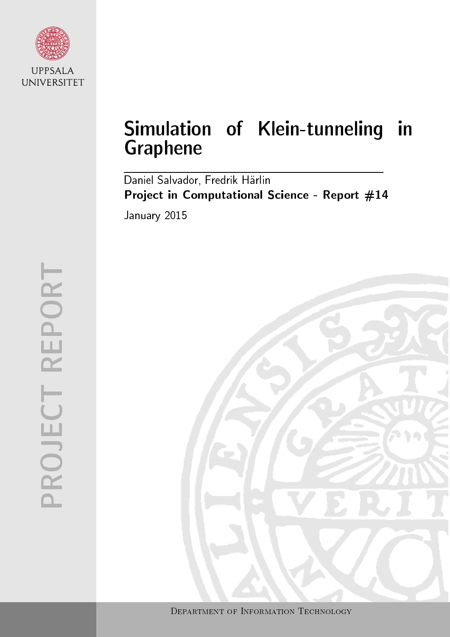

# Simulation of Klein-tunneling in Graphene

Daniel Salvador, Fredrik Härlin Project in Computational Science - Report #14 January 2015

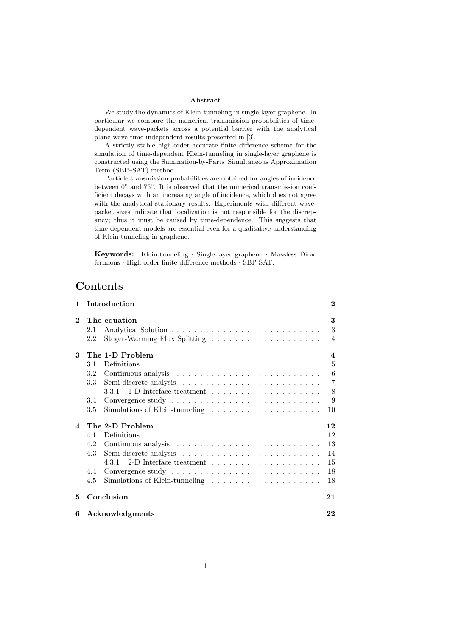#### Abstract

We study the dynamics of Klein-tunneling in single-layer graphene. In particular we compare the numerical transmission probabilities of timedependent wave-packets across a potential barrier with the analytical plane wave time-independent results presented in [\[3\]](#page-23-0).

A strictly stable high-order accurate finite difference scheme for the simulation of time-dependent Klein-tunneling in single-layer graphene is constructed using the Summation-by-Parts–Simultaneous Approximation Term (SBP–SAT) method.

Particle transmission probabilities are obtained for angles of incidence between  $0^{\circ}$  and  $75^{\circ}$ . It is observed that the numerical transmission coefficient decays with an increasing angle of incidence, which does not agree with the analytical stationary results. Experiments with different wavepacket sizes indicate that localization is not responsible for the discrepancy; thus it must be caused by time-dependence. This suggests that time-dependent models are essential even for a qualitative understanding of Klein-tunneling in graphene.

Keywords: Klein-tunneling · Single-layer graphene · Massless Dirac fermions · High-order finite difference methods · SBP-SAT.

# Contents

| 1              | Introduction                                                                      | $\bf{2}$    |  |  |  |  |  |  |  |
|----------------|-----------------------------------------------------------------------------------|-------------|--|--|--|--|--|--|--|
| $\overline{2}$ | The equation<br>2.1<br>2.2                                                        | 3<br>3<br>4 |  |  |  |  |  |  |  |
| 3              | The 1-D Problem                                                                   | 4           |  |  |  |  |  |  |  |
|                | 3.1                                                                               | 5           |  |  |  |  |  |  |  |
|                | 3.2                                                                               | 6           |  |  |  |  |  |  |  |
|                | 3.3                                                                               | 7           |  |  |  |  |  |  |  |
|                |                                                                                   | 8           |  |  |  |  |  |  |  |
|                | 3.4                                                                               | 9           |  |  |  |  |  |  |  |
|                | 3.5<br>Simulations of Klein-tunneling $\ldots \ldots \ldots \ldots \ldots \ldots$ | 10          |  |  |  |  |  |  |  |
| $\mathbf 4$    | The 2-D Problem                                                                   | 12          |  |  |  |  |  |  |  |
|                | 4.1                                                                               | 12          |  |  |  |  |  |  |  |
|                | 4.2                                                                               | 13          |  |  |  |  |  |  |  |
|                | 4.3                                                                               | 14          |  |  |  |  |  |  |  |
|                |                                                                                   | 15          |  |  |  |  |  |  |  |
|                | 4.4                                                                               | 18          |  |  |  |  |  |  |  |
|                | 4.5                                                                               | 18          |  |  |  |  |  |  |  |
| 5              | Conclusion                                                                        | 21          |  |  |  |  |  |  |  |
| 6              | Acknowledgments                                                                   |             |  |  |  |  |  |  |  |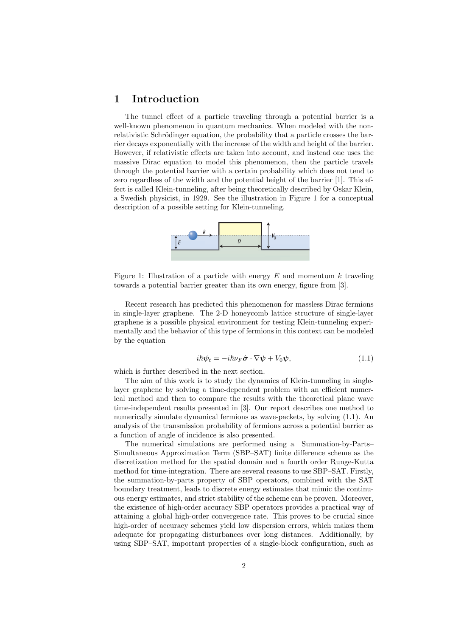# <span id="page-3-0"></span>1 Introduction

The tunnel effect of a particle traveling through a potential barrier is a well-known phenomenon in quantum mechanics. When modeled with the nonrelativistic Schrödinger equation, the probability that a particle crosses the barrier decays exponentially with the increase of the width and height of the barrier. However, if relativistic effects are taken into account, and instead one uses the massive Dirac equation to model this phenomenon, then the particle travels through the potential barrier with a certain probability which does not tend to zero regardless of the width and the potential height of the barrier [\[1\]](#page-23-2). This effect is called Klein-tunneling, after being theoretically described by Oskar Klein, a Swedish physicist, in 1929. See the illustration in Figure [1](#page-3-1) for a conceptual description of a possible setting for Klein-tunneling.

<span id="page-3-1"></span>

Figure 1: Illustration of a particle with energy  $E$  and momentum  $k$  traveling towards a potential barrier greater than its own energy, figure from [\[3\]](#page-23-0).

Recent research has predicted this phenomenon for massless Dirac fermions in single-layer graphene. The 2-D honeycomb lattice structure of single-layer graphene is a possible physical environment for testing Klein-tunneling experimentally and the behavior of this type of fermions in this context can be modeled by the equation

$$
i\hbar\psi_t = -i\hbar\nu_F\hat{\boldsymbol{\sigma}}\cdot\nabla\psi + V_0\psi,
$$
\n(1.1)

<span id="page-3-2"></span>which is further described in the next section.

The aim of this work is to study the dynamics of Klein-tunneling in singlelayer graphene by solving a time-dependent problem with an efficient numerical method and then to compare the results with the theoretical plane wave time-independent results presented in [\[3\]](#page-23-0). Our report describes one method to numerically simulate dynamical fermions as wave-packets, by solving [\(1.1\)](#page-3-2). An analysis of the transmission probability of fermions across a potential barrier as a function of angle of incidence is also presented.

The numerical simulations are performed using a Summation-by-Parts– Simultaneous Approximation Term (SBP–SAT) finite difference scheme as the discretization method for the spatial domain and a fourth order Runge-Kutta method for time-integration. There are several reasons to use SBP–SAT. Firstly, the summation-by-parts property of SBP operators, combined with the SAT boundary treatment, leads to discrete energy estimates that mimic the continuous energy estimates, and strict stability of the scheme can be proven. Moreover, the existence of high-order accuracy SBP operators provides a practical way of attaining a global high-order convergence rate. This proves to be crucial since high-order of accuracy schemes yield low dispersion errors, which makes them adequate for propagating disturbances over long distances. Additionally, by using SBP–SAT, important properties of a single-block configuration, such as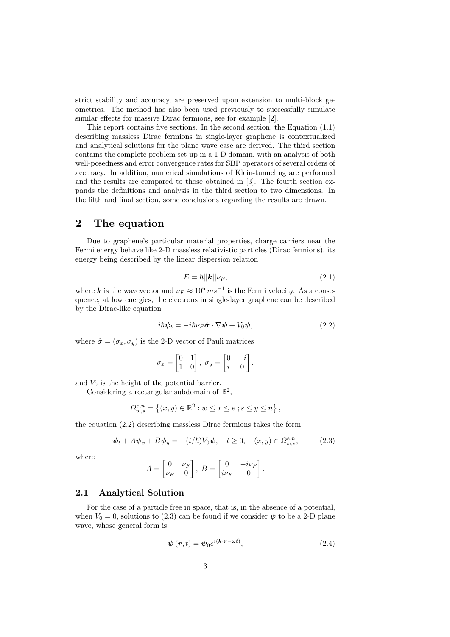strict stability and accuracy, are preserved upon extension to multi-block geometries. The method has also been used previously to successfully simulate similar effects for massive Dirac fermions, see for example [\[2\]](#page-23-3).

This report contains five sections. In the second section, the Equation [\(1.1\)](#page-3-2) describing massless Dirac fermions in single-layer graphene is contextualized and analytical solutions for the plane wave case are derived. The third section contains the complete problem set-up in a 1-D domain, with an analysis of both well-posedness and error convergence rates for SBP operators of several orders of accuracy. In addition, numerical simulations of Klein-tunneling are performed and the results are compared to those obtained in [\[3\]](#page-23-0). The fourth section expands the definitions and analysis in the third section to two dimensions. In the fifth and final section, some conclusions regarding the results are drawn.

# <span id="page-4-0"></span>2 The equation

Due to graphene's particular material properties, charge carriers near the Fermi energy behave like 2-D massless relativistic particles (Dirac fermions), its energy being described by the linear dispersion relation

$$
E = \hbar ||\mathbf{k}|| \nu_F,\tag{2.1}
$$

where k is the wavevector and  $\nu_F \approx 10^6 \, ms^{-1}$  is the Fermi velocity. As a consequence, at low energies, the electrons in single-layer graphene can be described by the Dirac-like equation

<span id="page-4-2"></span>
$$
i\hbar\psi_t = -i\hbar\nu_F\hat{\boldsymbol{\sigma}}\cdot\nabla\psi + V_0\psi,\tag{2.2}
$$

where  $\hat{\sigma} = (\sigma_x, \sigma_y)$  is the 2-D vector of Pauli matrices

<span id="page-4-3"></span>
$$
\sigma_x = \begin{bmatrix} 0 & 1 \\ 1 & 0 \end{bmatrix}, \ \sigma_y = \begin{bmatrix} 0 & -i \\ i & 0 \end{bmatrix},
$$

and  $V_0$  is the height of the potential barrier.

Considering a rectangular subdomain of  $\mathbb{R}^2$ ,

$$
\Omega_{w,s}^{e,n} = \left\{ (x,y) \in \mathbb{R}^2 : w \le x \le e \; ; s \le y \le n \right\},\
$$

the equation [\(2.2\)](#page-4-2) describing massless Dirac fermions takes the form

$$
\psi_t + A\psi_x + B\psi_y = -(i/\hbar)V_0\psi, \quad t \ge 0, \quad (x, y) \in \Omega_{w, s}^{e, n}, \tag{2.3}
$$

where

$$
A = \begin{bmatrix} 0 & \nu_F \\ \nu_F & 0 \end{bmatrix}, B = \begin{bmatrix} 0 & -i\nu_F \\ i\nu_F & 0 \end{bmatrix}.
$$

## <span id="page-4-1"></span>2.1 Analytical Solution

<span id="page-4-4"></span>For the case of a particle free in space, that is, in the absence of a potential, when  $V_0 = 0$ , solutions to [\(2.3\)](#page-4-3) can be found if we consider  $\psi$  to be a 2-D plane wave, whose general form is

$$
\psi(r,t) = \psi_0 e^{i(\mathbf{k} \cdot \mathbf{r} - \omega t)},\tag{2.4}
$$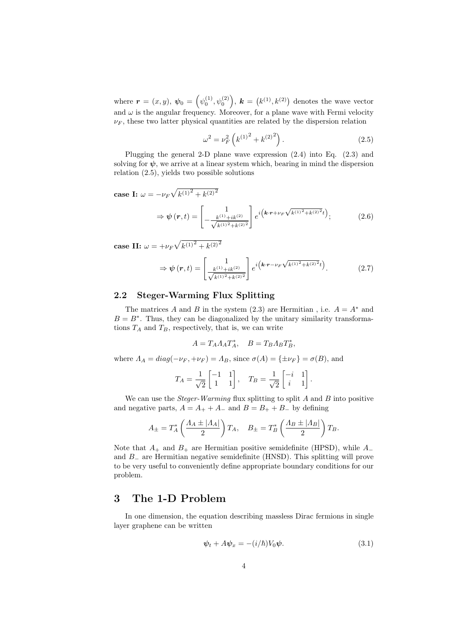where  $\bm{r} = (x, y), \, \bm{\psi}_0 = \left(\psi_0^{(1)}, \psi_0^{(2)}\right)$ ,  $\bm{k} = (k^{(1)}, k^{(2)})$  denotes the wave vector and  $\omega$  is the angular frequency. Moreover, for a plane wave with Fermi velocity  $\nu_F$ , these two latter physical quantities are related by the dispersion relation

$$
\omega^2 = \nu_F^2 \left( k^{(1)^2} + k^{(2)^2} \right). \tag{2.5}
$$

<span id="page-5-2"></span>Plugging the general 2-D plane wave expression  $(2.4)$  into Eq.  $(2.3)$  and solving for  $\psi$ , we arrive at a linear system which, bearing in mind the dispersion relation [\(2.5\)](#page-5-2), yields two possible solutions

case I:  $\omega = -\nu_F \sqrt{k^{(1)^2} + k^{(2)^2}}$ 

$$
\Rightarrow \psi(r,t) = \begin{bmatrix} 1 \\ -\frac{k^{(1)}+ik^{(2)}}{\sqrt{k^{(1)^2}+k^{(2)^2}}} \end{bmatrix} e^{i\left(k \cdot r + \nu_F \sqrt{k^{(1)^2}+k^{(2)^2}}t\right)};
$$
(2.6)

case II:  $\omega = +\nu_F \sqrt{k^{(1)^2} + k^{(2)^2}}$ 

$$
\Rightarrow \psi(r,t) = \begin{bmatrix} 1 \\ \frac{k^{(1)} + ik^{(2)}}{\sqrt{k^{(1)^2} + k^{(2)^2}}} \end{bmatrix} e^{i\left(k \cdot r - \nu_F \sqrt{k^{(1)^2} + k^{(2)^2}}t\right)}.
$$
 (2.7)

# <span id="page-5-0"></span>2.2 Steger-Warming Flux Splitting

The matrices A and B in the system [\(2.3\)](#page-4-3) are Hermitian, i.e.  $A = A^*$  and  $B = B^*$ . Thus, they can be diagonalized by the unitary similarity transformations  $T_A$  and  $T_B$ , respectively, that is, we can write

$$
A = T_A A_A T_A^*, \quad B = T_B A_B T_B^*,
$$

where  $\Lambda_A = diag(-\nu_F, +\nu_F) = \Lambda_B$ , since  $\sigma(A) = {\pm \nu_F} = \sigma(B)$ , and

$$
T_A = \frac{1}{\sqrt{2}} \begin{bmatrix} -1 & 1 \\ 1 & 1 \end{bmatrix}, \quad T_B = \frac{1}{\sqrt{2}} \begin{bmatrix} -i & 1 \\ i & 1 \end{bmatrix}.
$$

We can use the *Steger-Warming* flux splitting to split  $A$  and  $B$  into positive and negative parts,  $A = A_+ + A_-$  and  $B = B_+ + B_-$  by defining

$$
A_{\pm} = T_A^* \left( \frac{A_A \pm |A_A|}{2} \right) T_A, \quad B_{\pm} = T_B^* \left( \frac{A_B \pm |A_B|}{2} \right) T_B.
$$

Note that  $A_+$  and  $B_+$  are Hermitian positive semidefinite (HPSD), while  $A_$ and B<sup>−</sup> are Hermitian negative semidefinite (HNSD). This splitting will prove to be very useful to conveniently define appropriate boundary conditions for our problem.

# <span id="page-5-1"></span>3 The 1-D Problem

In one dimension, the equation describing massless Dirac fermions in single layer graphene can be written

$$
\psi_t + A\psi_x = -(i/\hbar)V_0\psi.
$$
\n(3.1)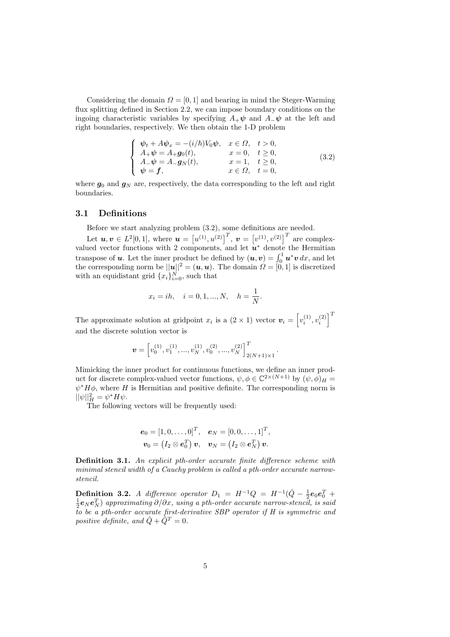<span id="page-6-1"></span>Considering the domain  $\Omega = [0, 1]$  and bearing in mind the Steger-Warming flux splitting defined in Section [2.2,](#page-5-0) we can impose boundary conditions on the ingoing characteristic variables by specifying  $A_+\psi$  and  $A_-\psi$  at the left and right boundaries, respectively. We then obtain the 1-D problem

$$
\begin{cases}\n\psi_t + A\psi_x = -(i/\hbar)V_0\psi, & x \in \Omega, \quad t > 0, \\
A_+\psi = A_+ g_0(t), & x = 0, \quad t \ge 0, \\
A_-\psi = A_- g_N(t), & x = 1, \quad t \ge 0, \\
\psi = f, & x \in \Omega, \quad t = 0,\n\end{cases}
$$
\n(3.2)

where  $g_0$  and  $g_N$  are, respectively, the data corresponding to the left and right boundaries.

#### <span id="page-6-0"></span>3.1 Definitions

Before we start analyzing problem [\(3.2\)](#page-6-1), some definitions are needed.

Let  $u, v \in L^2[0,1]$ , where  $u = [u^{(1)}, u^{(2)}]^T$ ,  $v = [v^{(1)}, v^{(2)}]^T$  are complexvalued vector functions with 2 components, and let  $\mathbf{u}^*$  denote the Hermitian transpose of **u**. Let the inner product be defined by  $(u, v) = \int_0^1 u^* v \, dx$ , and let the corresponding norm be  $||u||^2 = (u, u)$ . The domain  $\Omega = [0, 1]$  is discretized with an equidistant grid  ${x_i}_{i=0}^N$ , such that

$$
x_i = ih, \quad i = 0, 1, ..., N, \quad h = \frac{1}{N}.
$$

The approximate solution at gridpoint  $x_i$  is a  $(2 \times 1)$  vector  $\boldsymbol{v}_i = \left[v_i^{(1)}, v_i^{(2)}\right]^T$ and the discrete solution vector is

$$
\pmb{v} = \left[v_0^{(1)}, v_1^{(1)}, ..., v_N^{(1)}, v_0^{(2)}, ..., v_N^{(2)}\right]_{2(N+1)\times 1}^T.
$$

Mimicking the inner product for continuous functions, we define an inner product for discrete complex-valued vector functions,  $\psi, \phi \in \mathbb{C}^{2 \times (N+1)}$  by  $(\psi, \phi)_H =$  $\psi^* H \phi$ , where H is Hermitian and positive definite. The corresponding norm is  $||\psi||_H^2 = \psi^* H \psi.$ 

The following vectors will be frequently used:

$$
\begin{aligned} \boldsymbol{e}_0 = [1, 0, \ldots, 0]^T, \quad \boldsymbol{e}_N = [0, 0, \ldots, 1]^T, \\ \boldsymbol{v}_0 = \begin{pmatrix} I_2 \otimes \boldsymbol{e}_0^T \end{pmatrix} \boldsymbol{v}, \quad \boldsymbol{v}_N = \begin{pmatrix} I_2 \otimes \boldsymbol{e}_N^T \end{pmatrix} \boldsymbol{v}. \end{aligned}
$$

Definition 3.1. An explicit pth-order accurate finite difference scheme with minimal stencil width of a Cauchy problem is called a pth-order accurate narrowstencil.

**Definition 3.2.** A difference operator  $D_1 = H^{-1}Q = H^{-1}(\hat{Q} - \frac{1}{2}e_0e_0^T +$  $\frac{1}{2}\bm{e}_N\bm{e}_N^T)$  approximating  $\partial/\partial x$ , using a pth-order accurate narrow-stencil, is said to be a pth-order accurate first-derivative SBP operator if H is symmetric and positive definite, and  $\hat{Q} + \hat{Q}^T = 0$ .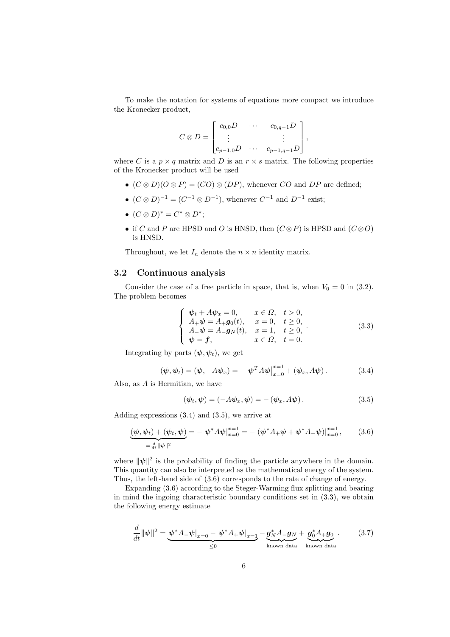To make the notation for systems of equations more compact we introduce the Kronecker product,

$$
C \otimes D = \begin{bmatrix} c_{0,0}D & \cdots & c_{0,q-1}D \\ \vdots & & \vdots \\ c_{p-1,0}D & \cdots & c_{p-1,q-1}D \end{bmatrix},
$$

where C is a  $p \times q$  matrix and D is an  $r \times s$  matrix. The following properties of the Kronecker product will be used

- $(C \otimes D)(O \otimes P) = (CO) \otimes (DP)$ , whenever  $CO$  and  $DP$  are defined;
- $(C \otimes D)^{-1} = (C^{-1} \otimes D^{-1})$ , whenever  $C^{-1}$  and  $D^{-1}$  exist;
- $(C \otimes D)^* = C^* \otimes D^*;$
- if C and P are HPSD and O is HNSD, then  $(C \otimes P)$  is HPSD and  $(C \otimes O)$ is HNSD.

Throughout, we let  $I_n$  denote the  $n \times n$  identity matrix.

### <span id="page-7-0"></span>3.2 Continuous analysis

<span id="page-7-4"></span>Consider the case of a free particle in space, that is, when  $V_0 = 0$  in [\(3.2\)](#page-6-1). The problem becomes

$$
\begin{cases}\n\psi_t + A\psi_x = 0, & x \in \Omega, \quad t > 0, \\
A_+\psi = A_+ g_0(t), & x = 0, \quad t \ge 0, \\
A_-\psi = A_- g_N(t), & x = 1, \quad t \ge 0, \\
\psi = f, & x \in \Omega, \quad t = 0.\n\end{cases}
$$
\n(3.3)

<span id="page-7-1"></span>Integrating by parts  $(\psi, \psi_t)$ , we get

$$
(\psi, \psi_t) = (\psi, -A\psi_x) = -\psi^T A \psi\big|_{x=0}^{x=1} + (\psi_x, A\psi).
$$
 (3.4)

Also, as A is Hermitian, we have

<span id="page-7-3"></span><span id="page-7-2"></span>
$$
(\psi_t, \psi) = (-A\psi_x, \psi) = -(\psi_x, A\psi). \qquad (3.5)
$$

Adding expressions [\(3.4\)](#page-7-1) and [\(3.5\)](#page-7-2), we arrive at

$$
\underbrace{(\psi, \psi_t) + (\psi_t, \psi)}_{=\frac{d}{dt} \|\psi\|^2} = -\psi^* A \psi\big|_{x=0}^{x=1} = -(\psi^* A_+ \psi + \psi^* A_- \psi)\big|_{x=0}^{x=1},\tag{3.6}
$$

where  $\|\psi\|^2$  is the probability of finding the particle anywhere in the domain. This quantity can also be interpreted as the mathematical energy of the system. Thus, the left-hand side of [\(3.6\)](#page-7-3) corresponds to the rate of change of energy.

Expanding [\(3.6\)](#page-7-3) according to the Steger-Warming flux splitting and bearing in mind the ingoing characteristic boundary conditions set in [\(3.3\)](#page-7-4), we obtain the following energy estimate

<span id="page-7-5"></span>
$$
\frac{d}{dt} \|\psi\|^2 = \underbrace{\psi^* A_-\psi|_{x=0} - \psi^* A_+\psi|_{x=1}}_{\leq 0} - \underbrace{g_N^* A_- g_N}_{\text{known data}} + \underbrace{g_0^* A_+ g_0}_{\text{known data}}.
$$
 (3.7)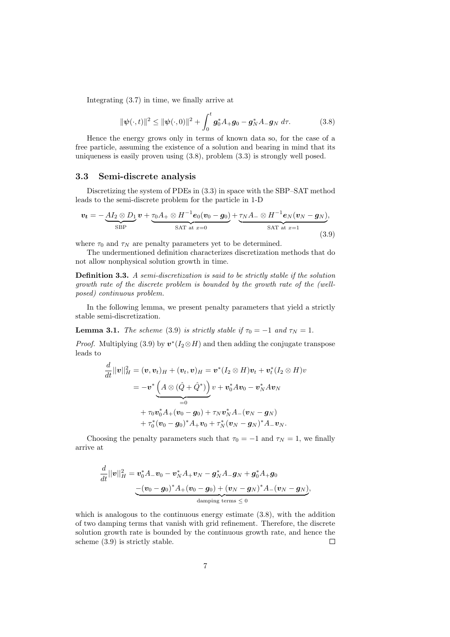<span id="page-8-1"></span>Integrating [\(3.7\)](#page-7-5) in time, we finally arrive at

<span id="page-8-2"></span>
$$
\|\psi(\cdot,t)\|^2 \le \|\psi(\cdot,0)\|^2 + \int_0^t \mathbf{g}_0^* A_+ \mathbf{g}_0 - \mathbf{g}_N^* A_- \mathbf{g}_N \, d\tau. \tag{3.8}
$$

Hence the energy grows only in terms of known data so, for the case of a free particle, assuming the existence of a solution and bearing in mind that its uniqueness is easily proven using [\(3.8\)](#page-8-1), problem [\(3.3\)](#page-7-4) is strongly well posed.

## <span id="page-8-0"></span>3.3 Semi-discrete analysis

Discretizing the system of PDEs in [\(3.3\)](#page-7-4) in space with the SBP–SAT method leads to the semi-discrete problem for the particle in 1-D

$$
\boldsymbol{v_t} = -\underbrace{A I_2 \otimes D_1}_{\text{SBP}} \boldsymbol{v} + \underbrace{\tau_0 A_+ \otimes H^{-1} \boldsymbol{e}_0 (\boldsymbol{v}_0 - \boldsymbol{g}_0)}_{\text{SAT at } x=0} + \underbrace{\tau_N A_- \otimes H^{-1} \boldsymbol{e}_N (\boldsymbol{v}_N - \boldsymbol{g}_N)}_{\text{SAT at } x=1},
$$
\n(3.9)

where  $\tau_0$  and  $\tau_N$  are penalty parameters yet to be determined.

The undermentioned definition characterizes discretization methods that do not allow nonphysical solution growth in time.

Definition 3.3. A semi-discretization is said to be strictly stable if the solution growth rate of the discrete problem is bounded by the growth rate of the (wellposed) continuous problem.

In the following lemma, we present penalty parameters that yield a strictly stable semi-discretization.

**Lemma 3.1.** The scheme [\(3.9\)](#page-8-2) is strictly stable if  $\tau_0 = -1$  and  $\tau_N = 1$ .

*Proof.* Multiplying [\(3.9\)](#page-8-2) by  $v^*(I_2 \otimes H)$  and then adding the conjugate transpose leads to

$$
\begin{aligned}\n\frac{d}{dt}||\bm{v}||_H^2 &= (\bm{v},\bm{v}_t)_H + (\bm{v}_t,\bm{v})_H = \bm{v}^*\left(I_2\otimes H\right)\bm{v}_t + \bm{v}_t^*(I_2\otimes H)v \\
&= -\bm{v}^*\underbrace{\left(A\otimes (\hat{Q} + \hat{Q}^*)\right)}_{=0}v + \bm{v}_0^*A\bm{v}_0 - \bm{v}_N^*A\bm{v}_N \\
&\quad + \tau_0\bm{v}_0^*A_+(\bm{v}_0-\bm{g}_0) + \tau_N\bm{v}_N^*A_-(\bm{v}_N-\bm{g}_N) \\
&\quad + \tau_0^*(\bm{v}_0-\bm{g}_0)^*A_+\bm{v}_0 + \tau_N^*(\bm{v}_N-\bm{g}_N)^*A_-\bm{v}_N.\n\end{aligned}
$$

Choosing the penalty parameters such that  $\tau_0 = -1$  and  $\tau_N = 1$ , we finally arrive at

$$
\begin{aligned} \frac{d}{dt}||\bm{v}||_H^2 &= \bm{v}_0^*A_-\bm{v}_0 - \bm{v}_N^*A_+\bm{v}_N - \bm{g}_N^*A_-\bm{g}_N + \bm{g}_0^*A_+\bm{g}_0 \\ &\underbrace{-(\bm{v}_0-\bm{g}_0)^*A_+(\bm{v}_0-\bm{g}_0) + (\bm{v}_N-\bm{g}_N)^*A_-(\bm{v}_N-\bm{g}_N)}_{\text{damping terms} \leq 0}, \end{aligned}
$$

which is analogous to the continuous energy estimate  $(3.8)$ , with the addition of two damping terms that vanish with grid refinement. Therefore, the discrete solution growth rate is bounded by the continuous growth rate, and hence the scheme [\(3.9\)](#page-8-2) is strictly stable.  $\Box$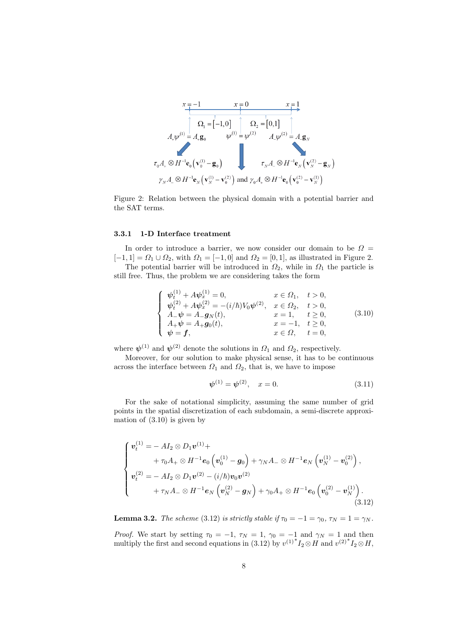<span id="page-9-1"></span>

Figure 2: Relation between the physical domain with a potential barrier and the SAT terms.

#### <span id="page-9-0"></span>3.3.1 1-D Interface treatment

In order to introduce a barrier, we now consider our domain to be  $\Omega =$  $[-1, 1] = \Omega_1 \cup \Omega_2$ , with  $\Omega_1 = [-1, 0]$  and  $\Omega_2 = [0, 1]$ , as illustrated in Figure [2.](#page-9-1)

<span id="page-9-2"></span>The potential barrier will be introduced in  $\Omega_2$ , while in  $\Omega_1$  the particle is still free. Thus, the problem we are considering takes the form

$$
\begin{cases}\n\psi_t^{(1)} + A\psi_x^{(1)} = 0, & x \in \Omega_1, \quad t > 0, \\
\psi_t^{(2)} + A\psi_x^{(2)} = -(i/\hbar)V_0\psi^{(2)}, & x \in \Omega_2, \quad t > 0, \\
A_-\psi = A_-\mathbf{g}_N(t), & x = 1, \quad t \ge 0, \\
A_+\psi = A_+\mathbf{g}_0(t), & x = -1, \quad t \ge 0, \\
\psi = \mathbf{f}, & x \in \Omega, \quad t = 0,\n\end{cases}
$$
\n(3.10)

where  $\psi^{(1)}$  and  $\psi^{(2)}$  denote the solutions in  $\Omega_1$  and  $\Omega_2$ , respectively.

Moreover, for our solution to make physical sense, it has to be continuous across the interface between  $\Omega_1$  and  $\Omega_2$ , that is, we have to impose

$$
\psi^{(1)} = \psi^{(2)}, \quad x = 0. \tag{3.11}
$$

For the sake of notational simplicity, assuming the same number of grid points in the spatial discretization of each subdomain, a semi-discrete approximation of  $(3.10)$  is given by

<span id="page-9-3"></span>
$$
\begin{cases}\n\boldsymbol{v}_t^{(1)} = - A I_2 \otimes D_1 \boldsymbol{v}^{(1)} + \\
+ \tau_0 A_+ \otimes H^{-1} \boldsymbol{e}_0 \left( \boldsymbol{v}_0^{(1)} - \boldsymbol{g}_0 \right) + \gamma_N A_- \otimes H^{-1} \boldsymbol{e}_N \left( \boldsymbol{v}_N^{(1)} - \boldsymbol{v}_0^{(2)} \right), \\
\boldsymbol{v}_t^{(2)} = - A I_2 \otimes D_1 \boldsymbol{v}^{(2)} - (i/\hbar) \boldsymbol{v}_0 \boldsymbol{v}^{(2)} \\
+ \tau_N A_- \otimes H^{-1} \boldsymbol{e}_N \left( \boldsymbol{v}_N^{(2)} - \boldsymbol{g}_N \right) + \gamma_0 A_+ \otimes H^{-1} \boldsymbol{e}_0 \left( \boldsymbol{v}_0^{(2)} - \boldsymbol{v}_N^{(1)} \right).\n\end{cases}
$$
\n(3.12)

**Lemma 3.2.** The scheme [\(3.12\)](#page-9-3) is strictly stable if  $\tau_0 = -1 = \gamma_0$ ,  $\tau_N = 1 = \gamma_N$ .

*Proof.* We start by setting  $\tau_0 = -1$ ,  $\tau_N = 1$ ,  $\gamma_0 = -1$  and  $\gamma_N = 1$  and then multiply the first and second equations in [\(3.12\)](#page-9-3) by  $v^{(1)*}I_2 \otimes H$  and  $v^{(2)*}I_2 \otimes H$ ,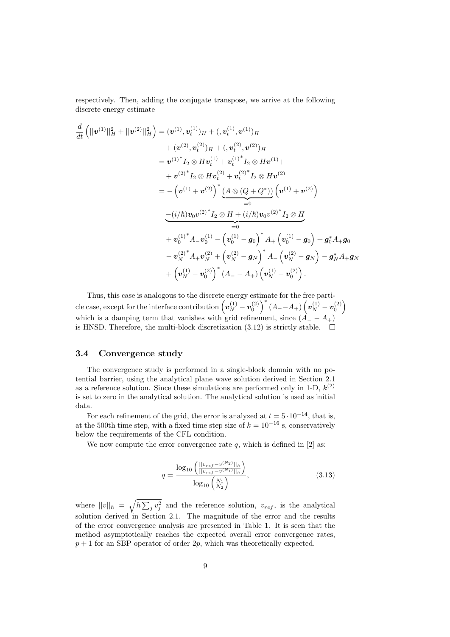respectively. Then, adding the conjugate transpose, we arrive at the following discrete energy estimate

$$
\frac{d}{dt} \left( ||\mathbf{v}^{(1)}||_H^2 + ||\mathbf{v}^{(2)}||_H^2 \right) = (\mathbf{v}^{(1)}, \mathbf{v}_t^{(1)})_H + (\mathbf{v}_t^{(1)}, \mathbf{v}^{(1)})_H \n+ (\mathbf{v}^{(2)}, \mathbf{v}_t^{(2)})_H + (\mathbf{v}_t^{(2)}, \mathbf{v}^{(2)})_H \n= \mathbf{v}^{(1)^*} I_2 \otimes H \mathbf{v}_t^{(1)} + \mathbf{v}_t^{(1)^*} I_2 \otimes H \mathbf{v}^{(1)} + \n+ \mathbf{v}^{(2)^*} I_2 \otimes H \mathbf{v}_t^{(2)} + \mathbf{v}_t^{(2)^*} I_2 \otimes H \mathbf{v}^{(2)} \n= - (\mathbf{v}^{(1)} + \mathbf{v}^{(2)})^* \underbrace{(A \otimes (Q + Q^*))} (\mathbf{v}^{(1)} + \mathbf{v}^{(2)}) \n- (i/\hbar) \mathbf{v}_0 v^{(2)^*} I_2 \otimes H + (i/\hbar) \mathbf{v}_0 v^{(2)^*} I_2 \otimes H \n= 0 \n+ \mathbf{v}_0^{(1)^*} A_- \mathbf{v}_0^{(1)} - (\mathbf{v}_0^{(1)} - \mathbf{g}_0)^* A_+ (\mathbf{v}_0^{(1)} - \mathbf{g}_0) + \mathbf{g}_0^* A_+ \mathbf{g}_0 \n- \mathbf{v}_N^{(2)^*} A_+ \mathbf{v}_N^{(2)} + (\mathbf{v}_N^{(2)} - \mathbf{g}_N)^* A_- (\mathbf{v}_N^{(2)} - \mathbf{g}_N) - \mathbf{g}_N^* A_+ \mathbf{g}_N \n+ (\mathbf{v}_N^{(1)} - \mathbf{v}_0^{(2)})^* (A_- - A_+) (\mathbf{v}_N^{(1)} - \mathbf{v}_0^{(2)}).
$$

Thus, this case is analogous to the discrete energy estimate for the free particle case, except for the interface contribution  $(v_N^{(1)} - v_0^{(2)})^* (A_--A_+) (v_N^{(1)} - v_0^{(2)})$ which is a damping term that vanishes with grid refinement, since  $(A_ - - A_+)$ is HNSD. Therefore, the multi-block discretization [\(3.12\)](#page-9-3) is strictly stable.  $\Box$ 

## <span id="page-10-0"></span>3.4 Convergence study

The convergence study is performed in a single-block domain with no potential barrier, using the analytical plane wave solution derived in Section [2.1](#page-4-1) as a reference solution. Since these simulations are performed only in 1-D,  $k^{(2)}$ is set to zero in the analytical solution. The analytical solution is used as initial data.

For each refinement of the grid, the error is analyzed at  $t = 5 \cdot 10^{-14}$ , that is, at the 500th time step, with a fixed time step size of  $k = 10^{-16}$  s, conservatively below the requirements of the CFL condition.

<span id="page-10-1"></span>We now compute the error convergence rate  $q$ , which is defined in [\[2\]](#page-23-3) as:

$$
q = \frac{\log_{10}\left(\frac{||v_{ref} - v^{(N_2)}||_h}{||v_{ref} - v^{(N_1)}||_h}\right)}{\log_{10}\left(\frac{N_1}{N_2}\right)},
$$
\n(3.13)

where  $||v||_h = \sqrt{h \sum_j v_j^2}$  and the reference solution,  $v_{ref}$ , is the analytical solution derived in Section [2.1.](#page-4-1) The magnitude of the error and the results of the error convergence analysis are presented in Table [1.](#page-11-1) It is seen that the method asymptotically reaches the expected overall error convergence rates,  $p + 1$  for an SBP operator of order 2p, which was theoretically expected.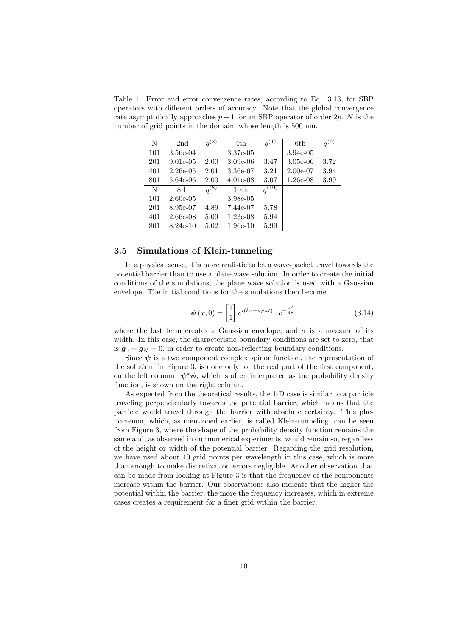<span id="page-11-1"></span>Table 1: Error and error convergence rates, according to Eq. [3.13,](#page-10-1) for SBP operators with different orders of accuracy. Note that the global convergence rate asymptotically approaches  $p + 1$  for an SBP operator of order 2p. N is the number of grid points in the domain, whose length is 500 nm.

| N   | 2 <sub>nd</sub> | $q^{(2)}$ | 4th        | $q^{(\overline{4})}$  | 6th         | $q^{(6)}$ |
|-----|-----------------|-----------|------------|-----------------------|-------------|-----------|
| 101 | 3.56e-04        |           | 3.37e-05   |                       | $3.94e-0.5$ |           |
| 201 | $9.01e-0.5$     | 2.00      | $3.09e-06$ | 3.47                  | $3.05e-06$  | 3.72      |
| 401 | $2.26e-0.5$     | 2.01      | 3.36e-07   | 3.21                  | $2.00e-07$  | 3.94      |
| 801 | 5.64e-06        | 2.00      | $4.01e-08$ | 3.07                  | $1.26e-08$  | 3.99      |
| N   | 8th             | $q^{(8)}$ | 10th       | $q^{(\overline{10})}$ |             |           |
| 101 | $2.60e-0.5$     |           | 3.98e-05   |                       |             |           |
| 201 | 8.95e-07        | 4.89      | 7.44e-07   | 5.78                  |             |           |
| 401 | $2.66e-08$      | 5.09      | $1.23e-08$ | 5.94                  |             |           |
| 801 | $8.24e-10$      | 5.02      | $1.96e-10$ | 5.99                  |             |           |

## <span id="page-11-0"></span>3.5 Simulations of Klein-tunneling

In a physical sense, it is more realistic to let a wave-packet travel towards the potential barrier than to use a plane wave solution. In order to create the initial conditions of the simulations, the plane wave solution is used with a Gaussian envelope. The initial conditions for the simulations then become

$$
\psi(x,0) = \begin{bmatrix} 1 \\ 1 \end{bmatrix} e^{i(kx - \nu_F kt)} \cdot e^{-\frac{x^2}{4\sigma}}, \tag{3.14}
$$

where the last term creates a Gaussian envelope, and  $\sigma$  is a measure of its width. In this case, the characteristic boundary conditions are set to zero, that is  $g_0 = g_N = 0$ , in order to create non-reflecting boundary conditions.

Since  $\psi$  is a two component complex spinor function, the representation of the solution, in Figure [3,](#page-12-0) is done only for the real part of the first component, on the left column.  $\psi^*\psi$ , which is often interpreted as the probability density function, is shown on the right column.

As expected from the theoretical results, the 1-D case is similar to a particle traveling perpendicularly towards the potential barrier, which means that the particle would travel through the barrier with absolute certainty. This phenomenon, which, as mentioned earlier, is called Klein-tunneling, can be seen from Figure [3,](#page-12-0) where the shape of the probability density function remains the same and, as observed in our numerical experiments, would remain so, regardless of the height or width of the potential barrier. Regarding the grid resolution, we have used about 40 grid points per wavelength in this case, which is more than enough to make discretization errors negligible. Another observation that can be made from looking at Figure [3](#page-12-0) is that the frequency of the components increase within the barrier. Our observations also indicate that the higher the potential within the barrier, the more the frequency increases, which in extreme cases creates a requirement for a finer grid within the barrier.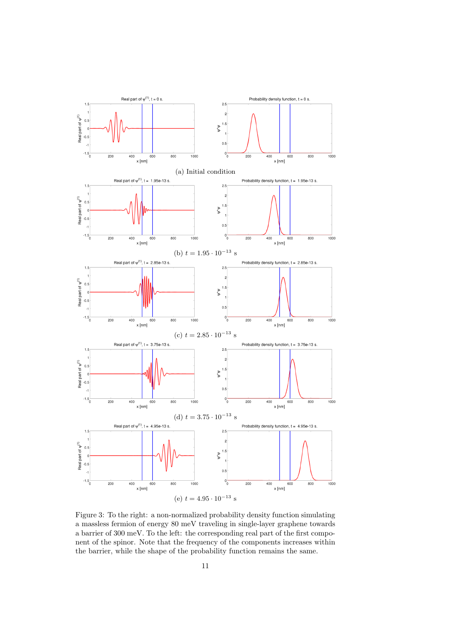<span id="page-12-0"></span>

Figure 3: To the right: a non-normalized probability density function simulating a massless fermion of energy 80 meV traveling in single-layer graphene towards a barrier of 300 meV. To the left: the corresponding real part of the first component of the spinor. Note that the frequency of the components increases within the barrier, while the shape of the probability function remains the same.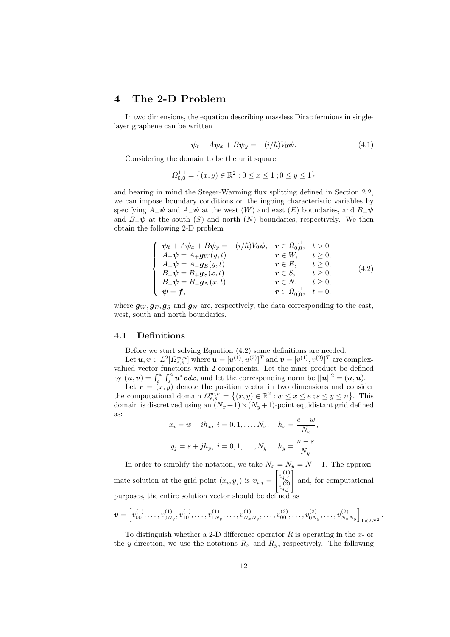# <span id="page-13-0"></span>4 The 2-D Problem

In two dimensions, the equation describing massless Dirac fermions in singlelayer graphene can be written

$$
\psi_t + A\psi_x + B\psi_y = -(i/\hbar)V_0\psi.
$$
\n(4.1)

Considering the domain to be the unit square

$$
\Omega_{0,0}^{1,1} = \left\{ (x, y) \in \mathbb{R}^2 : 0 \le x \le 1 \right\} \quad 0 \le y \le 1 \right\}
$$

and bearing in mind the Steger-Warming flux splitting defined in Section [2.2,](#page-5-0) we can impose boundary conditions on the ingoing characteristic variables by specifying  $A_+\psi$  and  $A_-\psi$  at the west  $(W)$  and east  $(E)$  boundaries, and  $B_+\psi$ and  $B_-\psi$  at the south  $(S)$  and north  $(N)$  boundaries, respectively. We then obtain the following 2-D problem

<span id="page-13-2"></span>
$$
\begin{cases}\n\psi_t + A\psi_x + B\psi_y = -(i/\hbar)V_0\psi, & r \in \Omega_{0,0}^{1,1}, \quad t > 0, \\
A_+\psi = A_+ g_W(y, t) & r \in W, \quad t \ge 0, \\
A_-\psi = A_- g_E(y, t) & r \in E, \quad t \ge 0, \\
B_+\psi = B_+ g_S(x, t) & r \in S, \quad t \ge 0, \\
B_-\psi = B_- g_N(x, t) & r \in N, \quad t \ge 0, \\
\psi = f, & r \in \Omega_{0,0}^{1,1}, \quad t = 0,\n\end{cases}
$$
\n(4.2)

where  $g_W, g_E, g_S$  and  $g_N$  are, respectively, the data corresponding to the east, west, south and north boundaries.

## <span id="page-13-1"></span>4.1 Definitions

Before we start solving Equation [\(4.2\)](#page-13-2) some definitions are needed.

Let  $\bm{u},\bm{v}\in L^2[\varOmega_{e,s}^{w,n}]$  where  $\bm{u}=[u^{(1)},u^{(2)}]^T$  and  $\bm{v}=[v^{(1)},v^{(2)}]^T$  are complexvalued vector functions with 2 components. Let the inner product be defined by  $(u, v) = \int_{e}^{w} \int_{s}^{n} u^* v dx$ , and let the corresponding norm be  $||u||^2 = (u, u)$ .

Let  $r = (x, y)$  denote the position vector in two dimensions and consider the computational domain  $\Omega_{e,s}^{w,n} = \{(x,y) \in \mathbb{R}^2 : w \leq x \leq e ; s \leq y \leq n\}.$  This domain is discretized using an  $(N_x+1)\times(N_y+1)$ -point equidistant grid defined as:

$$
x_i = w + ih_x, i = 0, 1, ..., N_x, h_x = \frac{e - w}{N_x},
$$
  
 $y_j = s + jh_y, i = 0, 1, ..., N_y, h_y = \frac{n - s}{N_y}.$ 

In order to simplify the notation, we take  $N_x = N_y = N - 1$ . The approximate solution at the grid point  $(x_i, y_j)$  is  $v_{i,j} =$  $\left[v_{i,j}^{(1)}\right]$  $\begin{bmatrix} v_{i,j}^{(1)} \\ v_{i,j}^{(2)} \end{bmatrix}$ and, for computational purposes, the entire solution vector should be defined as

$$
\boldsymbol{v} = \left[ v_{00}^{(1)}, \ldots, v_{0N_y}^{(1)}, v_{10}^{(1)}, \ldots, v_{1N_y}^{(1)}, \ldots, v_{N_xN_y}^{(1)}, \ldots, v_{00}^{(2)}, \ldots, v_{0N_y}^{(2)}, \ldots, v_{N_xN_y}^{(2)} \right]_{1 \times 2N^2}.
$$

To distinguish whether a 2-D difference operator R is operating in the  $x$ - or the y-direction, we use the notations  $R_x$  and  $R_y$ , respectively. The following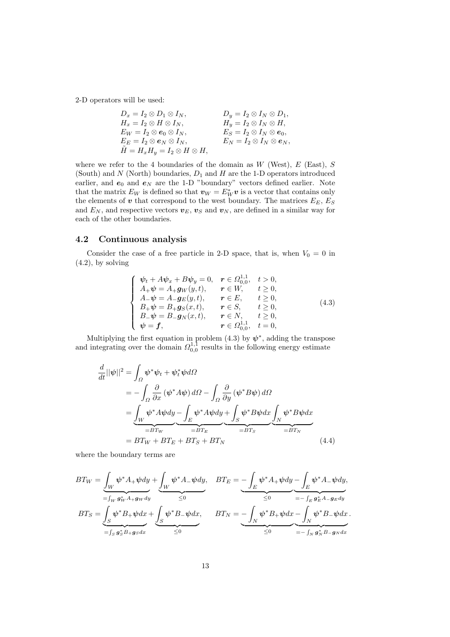2-D operators will be used:

$$
D_x = I_2 \otimes D_1 \otimes I_N, \t D_y = I_2 \otimes I_N \otimes D_1,
$$
  
\n
$$
H_x = I_2 \otimes H \otimes I_N, \t H_y = I_2 \otimes I_N \otimes H,
$$
  
\n
$$
E_W = I_2 \otimes e_0 \otimes I_N, \t E_S = I_2 \otimes I_N \otimes e_0,
$$
  
\n
$$
E_E = I_2 \otimes e_N \otimes I_N, \t E_N = I_2 \otimes I_N \otimes e_N,
$$
  
\n
$$
\tilde{H} = H_x H_y = I_2 \otimes H \otimes H,
$$

where we refer to the 4 boundaries of the domain as  $W$  (West),  $E$  (East),  $S$ (South) and  $N$  (North) boundaries,  $D_1$  and  $H$  are the 1-D operators introduced earlier, and  $e_0$  and  $e_N$  are the 1-D "boundary" vectors defined earlier. Note that the matrix  $E_W$  is defined so that  $\mathbf{v}_W = E_W^* \mathbf{v}$  is a vector that contains only the elements of  $\boldsymbol{v}$  that correspond to the west boundary. The matrices  $E_E, E_S$ and  $E_N$ , and respective vectors  $v_E$ ,  $v_S$  and  $v_N$ , are defined in a similar way for each of the other boundaries.

### <span id="page-14-0"></span>4.2 Continuous analysis

<span id="page-14-1"></span>Consider the case of a free particle in 2-D space, that is, when  $V_0 = 0$  in  $(4.2)$ , by solving

$$
\begin{cases}\n\psi_t + A\psi_x + B\psi_y = 0, & r \in \Omega_{0,0}^{1,1}, t > 0, \\
A_+\psi = A_+ g_W(y, t), & r \in W, t \ge 0, \\
A_-\psi = A_- g_E(y, t), & r \in E, t \ge 0, \\
B_+\psi = B_+ g_S(x, t), & r \in S, t \ge 0, \\
B_-\psi = B_- g_N(x, t), & r \in N, t \ge 0, \\
\psi = f, & r \in \Omega_{0,0}^{1,1}, t = 0,\n\end{cases}
$$
\n(4.3)

Multiplying the first equation in problem  $(4.3)$  by  $\psi^*$ , adding the transpose and integrating over the domain  $\Omega_{0,0}^{1,1}$  results in the following energy estimate

<span id="page-14-2"></span>
$$
\frac{d}{dt}||\psi||^2 = \int_{\Omega} \psi^* \psi_t + \psi_t^* \psi d\Omega
$$
\n
$$
= -\int_{\Omega} \frac{\partial}{\partial x} (\psi^* A \psi) d\Omega - \int_{\Omega} \frac{\partial}{\partial y} (\psi^* B \psi) d\Omega
$$
\n
$$
= \underbrace{\int_{W} \psi^* A \psi dy}_{=BT_W} - \underbrace{\int_{E} \psi^* A \psi dy}_{=BT_E} + \underbrace{\int_{S} \psi^* B \psi dx}_{=BT_S} \underbrace{\int_{E} \psi^* B \psi dx}_{=BT_N}
$$
\n
$$
= BT_W + BT_E + BT_S + BT_N
$$
\n(4.4)

where the boundary terms are

$$
BT_W = \underbrace{\int_W \psi^* A_+ \psi dy}_{= \int_W g_W^* A_+ g_W dy} + \underbrace{\int_W \psi^* A_- \psi dy}_{\leq 0}, \quad BT_E = \underbrace{- \int_E \psi^* A_+ \psi dy}_{\leq 0} - \underbrace{\int_E \psi^* A_- \psi dy}_{\leq 0},
$$
  

$$
BT_S = \underbrace{\int_S \psi^* B_+ \psi dx}_{= \int_S g_S^* B_+ g_S dx} + \underbrace{\int_S \psi^* B_- \psi dx}_{\leq 0}, \quad BT_N = \underbrace{- \int_N \psi^* B_+ \psi dx}_{\leq 0} - \underbrace{\int_N \psi^* B_- \psi dx}_{\leq 0}.
$$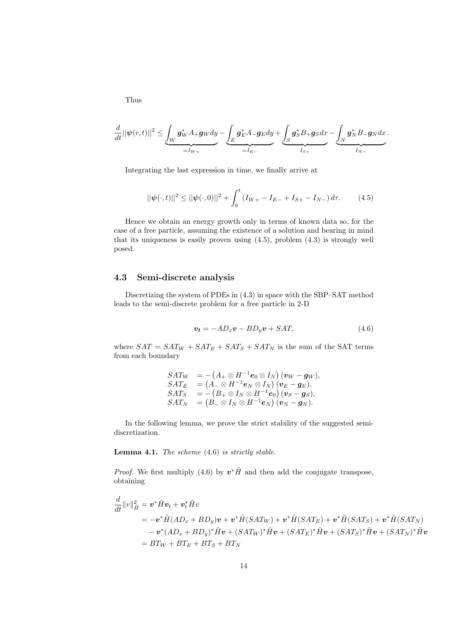Thus

$$
\frac{d}{dt}||\psi(r,t)||^2 \leq \underbrace{\int_W \mathbf{g}_W^* A_+\mathbf{g}_W dy}_{=I_W+} - \underbrace{\int_E \mathbf{g}_E^* A_-\mathbf{g}_E dy}_{=I_E-} + \underbrace{\int_S \mathbf{g}_S^* B_+\mathbf{g}_S dx}_{I_{S+}} - \underbrace{\int_N \mathbf{g}_N^* B_-\mathbf{g}_N dx}_{I_N-}.
$$

<span id="page-15-1"></span>Integrating the last expression in time, we finally arrive at

$$
||\psi(\cdot,t)||^2 \le ||\psi(\cdot,0)||^2 + \int_0^t \left(I_{W+} - I_{E-} + I_{S+} - I_{N-}\right) d\tau.
$$
 (4.5)

Hence we obtain an energy growth only in terms of known data so, for the case of a free particle, assuming the existence of a solution and bearing in mind that its uniqueness is easily proven using  $(4.5)$ , problem  $(4.3)$  is strongly well posed.

## <span id="page-15-0"></span>4.3 Semi-discrete analysis

<span id="page-15-2"></span>Discretizing the system of PDEs in [\(4.3\)](#page-14-1) in space with the SBP–SAT method leads to the semi-discrete problem for a free particle in 2-D

$$
\mathbf{v_t} = -AD_x \mathbf{v} - BD_y \mathbf{v} + SAT,\tag{4.6}
$$

where  $SAT = SAT_W + SAT_E + SAT_S + SAT_N$  is the sum of the SAT terms from each boundary

$$
\begin{array}{ll} SAT_W&=-\left(A_+\otimes H^{-1}\boldsymbol{e}_0\otimes I_N\right)(\boldsymbol{v}_W-\boldsymbol{g}_W),\\ SAT_E&=\left(A_-\otimes H^{-1}\boldsymbol{e}_N\otimes I_N\right)(\boldsymbol{v}_E-\boldsymbol{g}_E),\\ SAT_S&=-\left(B_+\otimes I_N\otimes H^{-1}\boldsymbol{e}_0\right)(\boldsymbol{v}_S-\boldsymbol{g}_S),\\ SAT_N&=\left(B_-\otimes I_N\otimes H^{-1}\boldsymbol{e}_N\right)(\boldsymbol{v}_N-\boldsymbol{g}_N).\end{array}
$$

In the following lemma, we prove the strict stability of the suggested semidiscretization.

**Lemma 4.1.** The scheme  $(4.6)$  is strictly stable.

*Proof.* We first multiply [\(4.6\)](#page-15-2) by  $v^*\tilde{H}$  and then add the conjugate transpose, obtaining

$$
\frac{d}{dt}||v||_{\tilde{H}}^2 = \mathbf{v}^* \tilde{H} \mathbf{v}_t + \mathbf{v}_t^* \tilde{H} v
$$
\n
$$
= -\mathbf{v}^* \tilde{H} (AD_x + BD_y) \mathbf{v} + \mathbf{v}^* \tilde{H} (SAT_W) + \mathbf{v}^* \tilde{H} (SAT_E) + \mathbf{v}^* \tilde{H} (SAT_S) + \mathbf{v}^* \tilde{H} (SAT_N)
$$
\n
$$
- \mathbf{v}^* (AD_x + BD_y)^* \tilde{H} \mathbf{v} + (SAT_W)^* \tilde{H} \mathbf{v} + (SAT_E)^* \tilde{H} \mathbf{v} + (SAT_S)^* \tilde{H} \mathbf{v} + (SAT_N)^* \tilde{H} \mathbf{v}
$$
\n
$$
= BT_W + BT_E + BT_S + BT_N
$$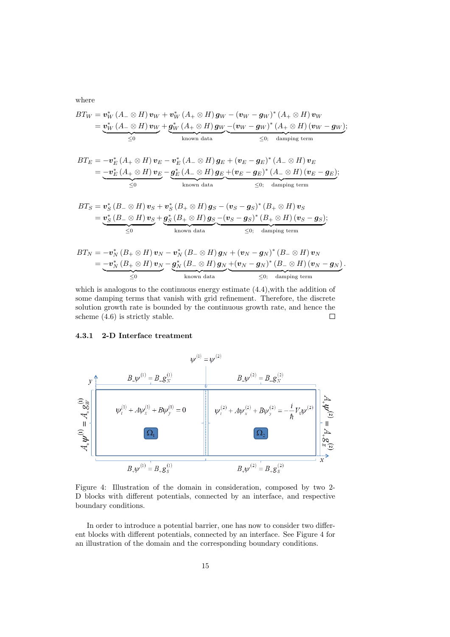where

$$
BT_W = \mathbf{v}_W^* (A_- \otimes H) \mathbf{v}_W + \mathbf{v}_W^* (A_+ \otimes H) \mathbf{g}_W - (\mathbf{v}_W - \mathbf{g}_W)^* (A_+ \otimes H) \mathbf{v}_W
$$
  
= 
$$
\underbrace{\mathbf{v}_W^* (A_- \otimes H) \mathbf{v}_W}_{\leq 0} + \underbrace{\mathbf{g}_W^* (A_+ \otimes H) \mathbf{g}_W}_{\text{known data}} - (\mathbf{v}_W - \mathbf{g}_W)^* (A_+ \otimes H) (\mathbf{v}_W - \mathbf{g}_W)}_{\leq 0; \text{ damping term}};
$$

$$
BT_E = -\boldsymbol{v}_E^* (A_+ \otimes H) \boldsymbol{v}_E - \boldsymbol{v}_E^* (A_- \otimes H) \boldsymbol{g}_E + (\boldsymbol{v}_E - \boldsymbol{g}_E)^* (A_- \otimes H) \boldsymbol{v}_E
$$
  
= 
$$
-\boldsymbol{v}_E^* (A_+ \otimes H) \boldsymbol{v}_E - \underbrace{\boldsymbol{g}_E^* (A_- \otimes H) \boldsymbol{g}_E}_{\text{known data}} + (\boldsymbol{v}_E - \boldsymbol{g}_E)^* (A_- \otimes H) (\boldsymbol{v}_E - \boldsymbol{g}_E);
$$
  

$$
\leq 0
$$

$$
BT_S = \underbrace{\boldsymbol{v}_S^* \left( B_- \otimes H \right) \boldsymbol{v}_S + \boldsymbol{v}_S^* \left( B_+ \otimes H \right) \boldsymbol{g}_S - \left( \boldsymbol{v}_S - \boldsymbol{g}_S \right)^* \left( B_+ \otimes H \right) \boldsymbol{v}_S}_{\leq 0} = \underbrace{\boldsymbol{v}_S^* \left( B_- \otimes H \right) \boldsymbol{v}_S}_{\leq 0} + \underbrace{\boldsymbol{g}_S^* \left( B_+ \otimes H \right) \boldsymbol{g}_S - \left( \boldsymbol{v}_S - \boldsymbol{g}_S \right)^* \left( B_+ \otimes H \right) \left( \boldsymbol{v}_S - \boldsymbol{g}_S \right)}_{\leq 0; \text{ damping term}};
$$

$$
BT_N = -\boldsymbol{v}_N^* \left( B_+ \otimes H \right) \boldsymbol{v}_N - \boldsymbol{v}_N^* \left( B_- \otimes H \right) \boldsymbol{g}_N + \left( \boldsymbol{v}_N - \boldsymbol{g}_N \right)^* \left( B_- \otimes H \right) \boldsymbol{v}_N = \underbrace{-\boldsymbol{v}_N^* \left( B_+ \otimes H \right) \boldsymbol{v}_N}_{\leq 0} - \underbrace{\boldsymbol{g}_N^* \left( B_- \otimes H \right) \boldsymbol{g}_N}_{\text{known data}} + \underbrace{(\boldsymbol{v}_N - \boldsymbol{g}_N)^* \left( B_- \otimes H \right) (\boldsymbol{v}_N - \boldsymbol{g}_N)}_{\leq 0; \quad \text{damping term}}.
$$

which is analogous to the continuous energy estimate  $(4.4)$ , with the addition of some damping terms that vanish with grid refinement. Therefore, the discrete solution growth rate is bounded by the continuous growth rate, and hence the scheme [\(4.6\)](#page-15-2) is strictly stable.  $\Box$ 

#### <span id="page-16-0"></span>4.3.1 2-D Interface treatment

<span id="page-16-1"></span>

Figure 4: Illustration of the domain in consideration, composed by two 2- D blocks with different potentials, connected by an interface, and respective boundary conditions.

In order to introduce a potential barrier, one has now to consider two different blocks with different potentials, connected by an interface. See Figure [4](#page-16-1) for an illustration of the domain and the corresponding boundary conditions.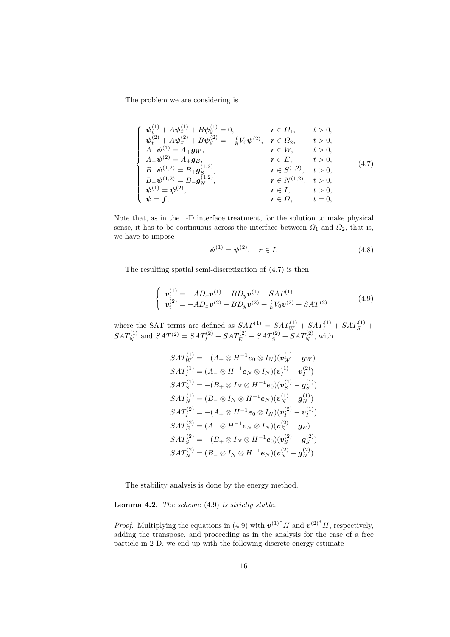<span id="page-17-0"></span>The problem we are considering is

$$
\begin{cases}\n\psi_t^{(1)} + A\psi_x^{(1)} + B\psi_y^{(1)} = 0, & r \in \Omega_1, \quad t > 0, \\
\psi_t^{(2)} + A\psi_x^{(2)} + B\psi_y^{(2)} = -\frac{i}{\hbar}V_0\psi^{(2)}, & r \in \Omega_2, \quad t > 0, \\
A_+\psi^{(1)} = A_+ g_W, & r \in W, \quad t > 0, \\
A_-\psi^{(2)} = A_+ g_E, & r \in E, \quad t > 0, \\
B_+\psi^{(1,2)} = B_+ g_S^{(1,2)}, & r \in S^{(1,2)}, \quad t > 0, \\
B_-\psi^{(1,2)} = B_- g_W^{(1,2)}, & r \in N^{(1,2)}, \quad t > 0, \\
\psi^{(1)} = \psi^{(2)}, & r \in I, \quad t > 0, \\
\psi = f, & r \in \Omega, \quad t = 0,\n\end{cases}
$$
\n(4.7)

Note that, as in the 1-D interface treatment, for the solution to make physical sense, it has to be continuous across the interface between  $\Omega_1$  and  $\Omega_2$ , that is, we have to impose

$$
\psi^{(1)} = \psi^{(2)}, \quad r \in I. \tag{4.8}
$$

<span id="page-17-1"></span>The resulting spatial semi-discretization of [\(4.7\)](#page-17-0) is then

$$
\begin{cases}\n\boldsymbol{v}_t^{(1)} = -AD_x \boldsymbol{v}^{(1)} - BD_y \boldsymbol{v}^{(1)} + SAT^{(1)} \\
\boldsymbol{v}_t^{(2)} = -AD_x \boldsymbol{v}^{(2)} - BD_y \boldsymbol{v}^{(2)} + \frac{i}{\hbar} V_0 \boldsymbol{v}^{(2)} + SAT^{(2)}\n\end{cases} (4.9)
$$

where the SAT terms are defined as  $SAT^{(1)} = SAT_W^{(1)} + SAT_I^{(1)} + SAT_S^{(1)} +$  $SAT_N^{(1)}$  and  $SAT^{(2)} = SAT_I^{(2)} + SAT_E^{(2)} + SAT_S^{(2)} + SAT_N^{(2)}$ , with

$$
SAT_W^{(1)} = -(A_+ \otimes H^{-1} \mathbf{e}_0 \otimes I_N)(\mathbf{v}_W^{(1)} - \mathbf{g}_W)
$$
  
\n
$$
SAT_I^{(1)} = (A_- \otimes H^{-1} \mathbf{e}_N \otimes I_N)(\mathbf{v}_I^{(1)} - \mathbf{v}_I^{(2)})
$$
  
\n
$$
SAT_S^{(1)} = -(B_+ \otimes I_N \otimes H^{-1} \mathbf{e}_0)(\mathbf{v}_S^{(1)} - \mathbf{g}_S^{(1)})
$$
  
\n
$$
SAT_N^{(1)} = (B_- \otimes I_N \otimes H^{-1} \mathbf{e}_N)(\mathbf{v}_N^{(1)} - \mathbf{g}_N^{(1)})
$$
  
\n
$$
SAT_I^{(2)} = -(A_+ \otimes H^{-1} \mathbf{e}_0 \otimes I_N)(\mathbf{v}_I^{(2)} - \mathbf{v}_I^{(1)})
$$
  
\n
$$
SAT_E^{(2)} = (A_- \otimes H^{-1} \mathbf{e}_N \otimes I_N)(\mathbf{v}_E^{(2)} - \mathbf{g}_E)
$$
  
\n
$$
SAT_S^{(2)} = -(B_+ \otimes I_N \otimes H^{-1} \mathbf{e}_0)(\mathbf{v}_S^{(2)} - \mathbf{g}_S^{(2)})
$$
  
\n
$$
SAT_N^{(2)} = (B_- \otimes I_N \otimes H^{-1} \mathbf{e}_N)(\mathbf{v}_N^{(2)} - \mathbf{g}_N^{(2)})
$$

The stability analysis is done by the energy method.

Lemma 4.2. The scheme [\(4.9\)](#page-17-1) is strictly stable.

*Proof.* Multiplying the equations in [\(4.9\)](#page-17-1) with  $v^{(1)*}$   $\tilde{H}$  and  $v^{(2)*}$   $\tilde{H}$ , respectively, adding the transpose, and proceeding as in the analysis for the case of a free particle in 2-D, we end up with the following discrete energy estimate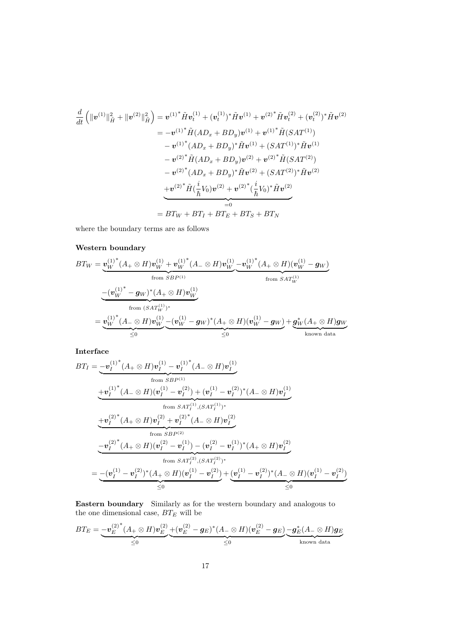$$
\frac{d}{dt} \left( \|\mathbf{v}^{(1)}\|_{\tilde{H}}^2 + \|\mathbf{v}^{(2)}\|_{\tilde{H}}^2 \right) = \mathbf{v}^{(1)^*} \tilde{H} \mathbf{v}_t^{(1)} + (\mathbf{v}_t^{(1)})^* \tilde{H} \mathbf{v}^{(1)} + \mathbf{v}^{(2)^*} \tilde{H} \mathbf{v}_t^{(2)} + (\mathbf{v}_t^{(2)})^* \tilde{H} \mathbf{v}^{(2)}
$$
\n
$$
= -\mathbf{v}^{(1)^*} \tilde{H} (AD_x + BD_y) \mathbf{v}^{(1)} + \mathbf{v}^{(1)^*} \tilde{H} (SAT^{(1)})
$$
\n
$$
-\mathbf{v}^{(1)^*} (AD_x + BD_y)^* \tilde{H} \mathbf{v}^{(1)} + (SAT^{(1)})^* \tilde{H} \mathbf{v}^{(1)}
$$
\n
$$
-\mathbf{v}^{(2)^*} \tilde{H} (AD_x + BD_y) \mathbf{v}^{(2)} + \mathbf{v}^{(2)^*} \tilde{H} (SAT^{(2)})
$$
\n
$$
-\mathbf{v}^{(2)^*} (AD_x + BD_y)^* \tilde{H} \mathbf{v}^{(2)} + (SAT^{(2)})^* \tilde{H} \mathbf{v}^{(2)}
$$
\n
$$
+\mathbf{v}^{(2)^*} \tilde{H} (\frac{i}{\hbar} V_0) \mathbf{v}^{(2)} + \mathbf{v}^{(2)^*} (\frac{i}{\hbar} V_0)^* \tilde{H} \mathbf{v}^{(2)}
$$
\n
$$
= 0
$$
\n
$$
= BT_W + BT_I + BT_E + BT_S + BT_N
$$

where the boundary terms are as follows

# Western boundary

$$
BT_W = \underbrace{\mathbf{v}_W^{(1)*}(A_+ \otimes H)\mathbf{v}_W^{(1)} + \mathbf{v}_W^{(1)*}(A_- \otimes H)\mathbf{v}_W^{(1)}}_{\text{from }SBP^{(1)}} - \underbrace{\mathbf{v}_W^{(1)*} - \mathbf{g}_W\mathbf{v}_W^{(1)}}_{\text{from }SAT_W^{(1)}} - \underbrace{(\mathbf{v}_W^{(1)*} - \mathbf{g}_W)^*(A_+ \otimes H)\mathbf{v}_W^{(1)}}_{\leq 0}
$$
\n
$$
= \underbrace{\mathbf{v}_W^{(1)*}(A_- \otimes H)\mathbf{v}_W^{(1)}}_{\leq 0} - (\mathbf{v}_W^{(1)} - \mathbf{g}_W)^*(A_+ \otimes H)(\mathbf{v}_W^{(1)} - \mathbf{g}_W) + \underbrace{\mathbf{g}_W^*(A_+ \otimes H)\mathbf{g}_W}_{\text{known data}}
$$

Interface

$$
BT_{I} = \underbrace{-\boldsymbol{v}_{I}^{(1)*}(A_{+} \otimes H)\boldsymbol{v}_{I}^{(1)} - \boldsymbol{v}_{I}^{(1)*}(A_{-} \otimes H)\boldsymbol{v}_{I}^{(1)}}_{\text{from }SBP^{(1)}} \n+ \underbrace{\boldsymbol{v}_{I}^{(1)*}(A_{-} \otimes H)(\boldsymbol{v}_{I}^{(1)} - \boldsymbol{v}_{I}^{(2)}) + (\boldsymbol{v}_{I}^{(1)} - \boldsymbol{v}_{I}^{(2)})^{*}(A_{-} \otimes H)\boldsymbol{v}_{I}^{(1)}}_{\text{from } SAT_{I}^{(1)}, (SAT_{I}^{(1)})^{*}} \n+ \underbrace{\boldsymbol{v}_{I}^{(2)*}(A_{+} \otimes H)\boldsymbol{v}_{I}^{(2)} + \boldsymbol{v}_{I}^{(2)*}(A_{-} \otimes H)\boldsymbol{v}_{I}^{(2)}}_{\text{from } SBP^{(2)}} \n- \underbrace{\boldsymbol{v}_{I}^{(2)*}(A_{+} \otimes H)(\boldsymbol{v}_{I}^{(2)} - \boldsymbol{v}_{I}^{(1)}) - (\boldsymbol{v}_{I}^{(2)} - \boldsymbol{v}_{I}^{(1)})^{*}(A_{+} \otimes H)\boldsymbol{v}_{I}^{(2)}}_{\text{from } SAT_{I}^{(2)}, (SAT_{I}^{(2)})^{*}} \n= - (\boldsymbol{v}_{I}^{(1)} - \boldsymbol{v}_{I}^{(2)})^{*}(A_{+} \otimes H)(\boldsymbol{v}_{I}^{(1)} - \boldsymbol{v}_{I}^{(2)}) + (\boldsymbol{v}_{I}^{(1)} - \boldsymbol{v}_{I}^{(2)})^{*}(A_{-} \otimes H)(\boldsymbol{v}_{I}^{(1)} - \boldsymbol{v}_{I}^{(2)}) \n\leq 0
$$

Eastern boundary Similarly as for the western boundary and analogous to the one dimensional case,  $BT_E$  will be

$$
BT_E = \underbrace{-\boldsymbol{v}_E^{(2)^*}(A_+ \otimes H) \boldsymbol{v}_E^{(2)}}_{\leq 0} + \underbrace{(\boldsymbol{v}_E^{(2)} - \boldsymbol{g}_E)^*(A_- \otimes H) (\boldsymbol{v}_E^{(2)} - \boldsymbol{g}_E)}_{\leq 0} \underbrace{-\boldsymbol{g}_E^*(A_- \otimes H) \boldsymbol{g}_E}_{\text{known data}}
$$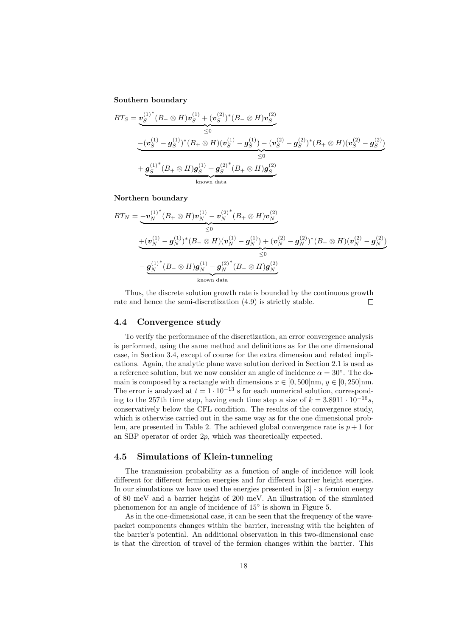#### Southern boundary

$$
BT_S = \underbrace{\boldsymbol{v}_S^{(1)^*}(B_- \otimes H)\boldsymbol{v}_S^{(1)} + (\boldsymbol{v}_S^{(2)})^*(B_- \otimes H)\boldsymbol{v}_S^{(2)}}_{\leq 0}
$$
\n
$$
-\underbrace{(\boldsymbol{v}_S^{(1)} - \boldsymbol{g}_S^{(1)})^*(B_+ \otimes H)(\boldsymbol{v}_S^{(1)} - \boldsymbol{g}_S^{(1)}) - (\boldsymbol{v}_S^{(2)} - \boldsymbol{g}_S^{(2)})^*(B_+ \otimes H)(\boldsymbol{v}_S^{(2)} - \boldsymbol{g}_S^{(2)})}_{\leq 0}
$$
\n
$$
+\underbrace{\boldsymbol{g}_S^{(1)^*}(B_+ \otimes H)\boldsymbol{g}_S^{(1)} + \boldsymbol{g}_S^{(2)^*}(B_+ \otimes H)\boldsymbol{g}_S^{(2)}}_{\text{known data}}
$$

Northern boundary

$$
BT_N = \underbrace{-\boldsymbol{v}_N^{(1)^*}(B_+ \otimes H)\boldsymbol{v}_N^{(1)} - \boldsymbol{v}_N^{(2)^*}(B_+ \otimes H)\boldsymbol{v}_N^{(2)}}_{\leq 0}
$$
  
\n
$$
+ (\boldsymbol{v}_N^{(1)} - \boldsymbol{g}_N^{(1)})^*(B_- \otimes H)(\boldsymbol{v}_N^{(1)} - \boldsymbol{g}_N^{(1)}) + (\boldsymbol{v}_N^{(2)} - \boldsymbol{g}_N^{(2)})^*(B_- \otimes H)(\boldsymbol{v}_N^{(2)} - \boldsymbol{g}_N^{(2)})
$$
  
\n
$$
- \underbrace{\boldsymbol{g}_N^{(1)^*}(B_- \otimes H)\boldsymbol{g}_N^{(1)} - \boldsymbol{g}_N^{(2)^*}(B_- \otimes H)\boldsymbol{g}_N^{(2)}}_{\text{known data}}
$$

Thus, the discrete solution growth rate is bounded by the continuous growth rate and hence the semi-discretization [\(4.9\)](#page-17-1) is strictly stable.  $\Box$ 

#### <span id="page-19-0"></span>4.4 Convergence study

To verify the performance of the discretization, an error convergence analysis is performed, using the same method and definitions as for the one dimensional case, in Section [3.4,](#page-10-0) except of course for the extra dimension and related implications. Again, the analytic plane wave solution derived in Section [2.1](#page-4-1) is used as a reference solution, but we now consider an angle of incidence  $\alpha = 30^{\circ}$ . The domain is composed by a rectangle with dimensions  $x \in [0, 500]$ nm,  $y \in [0, 250]$ nm. The error is analyzed at  $t = 1 \cdot 10^{-13}$  s for each numerical solution, corresponding to the 257th time step, having each time step a size of  $k = 3.8911 \cdot 10^{-16}s$ , conservatively below the CFL condition. The results of the convergence study, which is otherwise carried out in the same way as for the one dimensional prob-lem, are presented in Table [2.](#page-20-0) The achieved global convergence rate is  $p + 1$  for an SBP operator of order 2p, which was theoretically expected.

### <span id="page-19-1"></span>4.5 Simulations of Klein-tunneling

The transmission probability as a function of angle of incidence will look different for different fermion energies and for different barrier height energies. In our simulations we have used the energies presented in [\[3\]](#page-23-0) - a fermion energy of 80 meV and a barrier height of 200 meV. An illustration of the simulated phenomenon for an angle of incidence of  $15^{\circ}$  is shown in Figure [5.](#page-21-0)

As in the one-dimensional case, it can be seen that the frequency of the wavepacket components changes within the barrier, increasing with the heighten of the barrier's potential. An additional observation in this two-dimensional case is that the direction of travel of the fermion changes within the barrier. This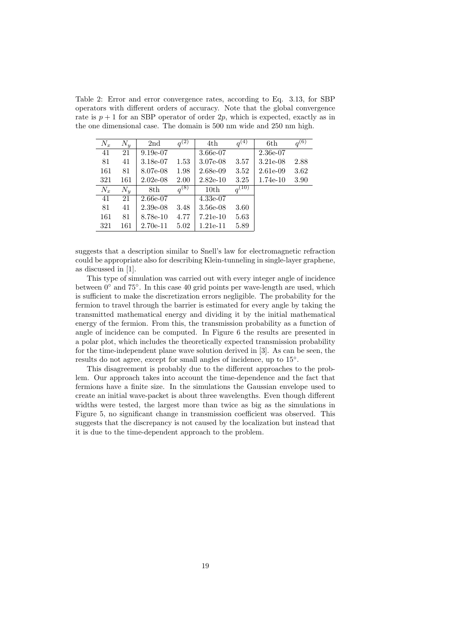<span id="page-20-0"></span>Table 2: Error and error convergence rates, according to Eq. [3.13,](#page-10-1) for SBP operators with different orders of accuracy. Note that the global convergence rate is  $p + 1$  for an SBP operator of order 2p, which is expected, exactly as in the one dimensional case. The domain is 500 nm wide and 250 nm high.

| $N_x$ | $N_{\rm u}$ | 2nd        | $q^{(2)}$ | 4th         | $q^{(\bar{4})}$ | 6th         | $q^{(6)}$ |
|-------|-------------|------------|-----------|-------------|-----------------|-------------|-----------|
| 41    | 21          | $9.19e-07$ |           | 3.66e-07    |                 | $2.36e-07$  |           |
| 81    | 41          | 3.18e-07   | $1.53\,$  | 3.07e-08    | 3.57            | $3.21e-08$  | 2.88      |
| 161   | 81          | 8.07e-08   | 1.98      | $2.68e-0.9$ | 3.52            | $2.61e-0.9$ | 3.62      |
| 321   | 161         | $2.02e-08$ | 2.00      | $2.82e-10$  | 3.25            | 1.74e-10    | 3.90      |
| $N_x$ | $N_{\rm u}$ | 8th        | $q^{(8)}$ | 10th        | $q^{(10)}$      |             |           |
| 41    | 21          | 2.66e-07   |           | $4.33e-07$  |                 |             |           |
| 81    | 41          | $2.39e-08$ | 3.48      | $3.56e-08$  | 3.60            |             |           |
| 161   | 81          | 8.78e-10   | 4.77      | $7.21e-10$  | 5.63            |             |           |
| 321   | 161         | $2.70e-11$ | 5.02      | $1.21e-11$  | 5.89            |             |           |

suggests that a description similar to Snell's law for electromagnetic refraction could be appropriate also for describing Klein-tunneling in single-layer graphene, as discussed in [\[1\]](#page-23-2).

This type of simulation was carried out with every integer angle of incidence between 0<sup>°</sup> and 75<sup>°</sup>. In this case 40 grid points per wave-length are used, which is sufficient to make the discretization errors negligible. The probability for the fermion to travel through the barrier is estimated for every angle by taking the transmitted mathematical energy and dividing it by the initial mathematical energy of the fermion. From this, the transmission probability as a function of angle of incidence can be computed. In Figure [6](#page-22-1) the results are presented in a polar plot, which includes the theoretically expected transmission probability for the time-independent plane wave solution derived in [\[3\]](#page-23-0). As can be seen, the results do not agree, except for small angles of incidence, up to  $15°$ .

This disagreement is probably due to the different approaches to the problem. Our approach takes into account the time-dependence and the fact that fermions have a finite size. In the simulations the Gaussian envelope used to create an initial wave-packet is about three wavelengths. Even though different widths were tested, the largest more than twice as big as the simulations in Figure [5,](#page-21-0) no significant change in transmission coefficient was observed. This suggests that the discrepancy is not caused by the localization but instead that it is due to the time-dependent approach to the problem.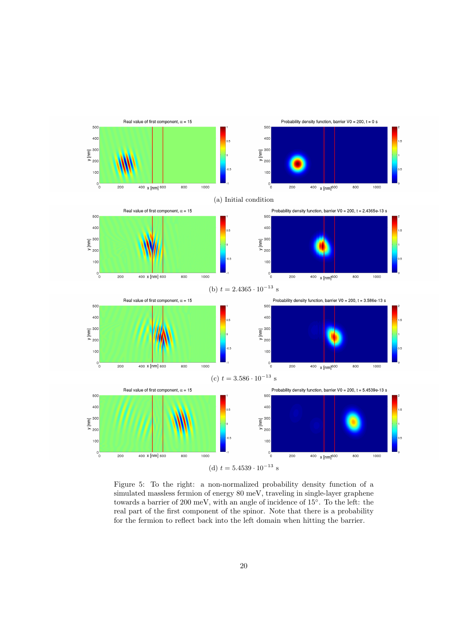<span id="page-21-0"></span>

Figure 5: To the right: a non-normalized probability density function of a simulated massless fermion of energy 80 meV, traveling in single-layer graphene towards a barrier of 200 meV, with an angle of incidence of 15◦ . To the left: the real part of the first component of the spinor. Note that there is a probability for the fermion to reflect back into the left domain when hitting the barrier.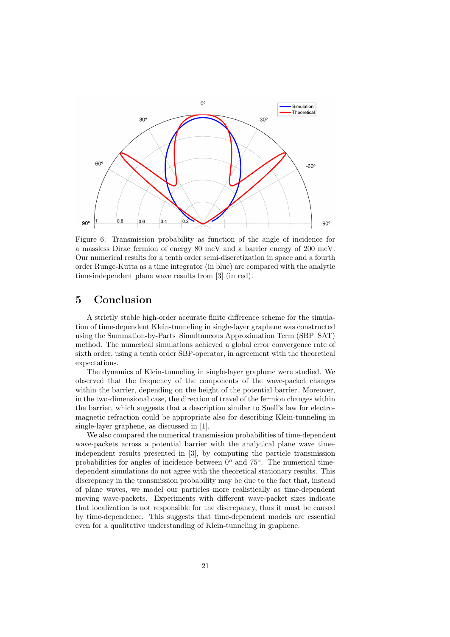<span id="page-22-1"></span>

Figure 6: Transmission probability as function of the angle of incidence for a massless Dirac fermion of energy 80 meV and a barrier energy of 200 meV. Our numerical results for a tenth order semi-discretization in space and a fourth order Runge-Kutta as a time integrator (in blue) are compared with the analytic time-independent plane wave results from [\[3\]](#page-23-0) (in red).

# <span id="page-22-0"></span>5 Conclusion

A strictly stable high-order accurate finite difference scheme for the simulation of time-dependent Klein-tunneling in single-layer graphene was constructed using the Summation-by-Parts–Simultaneous Approximation Term (SBP–SAT) method. The numerical simulations achieved a global error convergence rate of sixth order, using a tenth order SBP-operator, in agreement with the theoretical expectations.

The dynamics of Klein-tunneling in single-layer graphene were studied. We observed that the frequency of the components of the wave-packet changes within the barrier, depending on the height of the potential barrier. Moreover, in the two-dimensional case, the direction of travel of the fermion changes within the barrier, which suggests that a description similar to Snell's law for electromagnetic refraction could be appropriate also for describing Klein-tunneling in single-layer graphene, as discussed in [\[1\]](#page-23-2).

We also compared the numerical transmission probabilities of time-dependent wave-packets across a potential barrier with the analytical plane wave timeindependent results presented in [\[3\]](#page-23-0), by computing the particle transmission probabilities for angles of incidence between  $0^{\circ}$  and  $75^{\circ}$ . The numerical timedependent simulations do not agree with the theoretical stationary results. This discrepancy in the transmission probability may be due to the fact that, instead of plane waves, we model our particles more realistically as time-dependent moving wave-packets. Experiments with different wave-packet sizes indicate that localization is not responsible for the discrepancy, thus it must be caused by time-dependence. This suggests that time-dependent models are essential even for a qualitative understanding of Klein-tunneling in graphene.